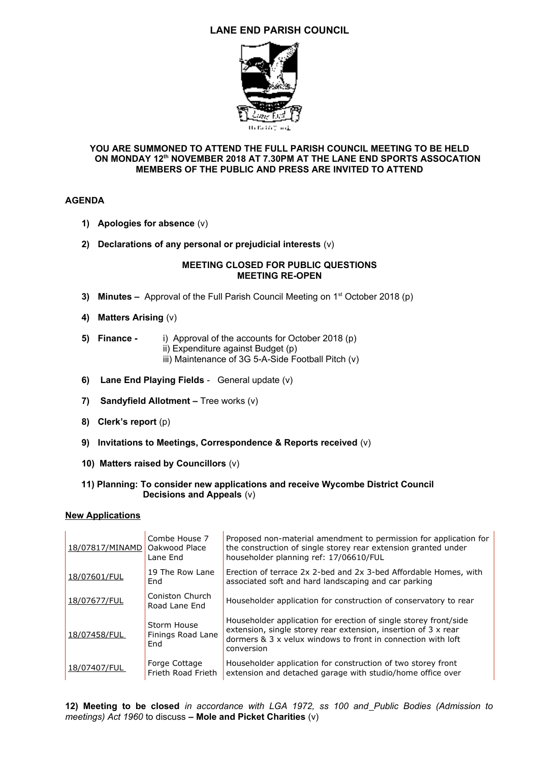# **LANE END PARISH COUNCIL**



## **YOU ARE SUMMONED TO ATTEND THE FULL PARISH COUNCIL MEETING TO BE HELD ON MONDAY 12th NOVEMBER 2018 AT 7.30PM AT THE LANE END SPORTS ASSOCATION MEMBERS OF THE PUBLIC AND PRESS ARE INVITED TO ATTEND**

## **AGENDA**

- **1) Apologies for absence** (v)
- **2) Declarations of any personal or prejudicial interests** (v)

#### **MEETING CLOSED FOR PUBLIC QUESTIONS MEETING RE-OPEN**

- **3) Minutes** Approval of the Full Parish Council Meeting on 1st October 2018 (p)
- **4) Matters Arising** (v)

#### **5) Finance -** i) Approval of the accounts for October 2018 (p)

- ii) Expenditure against Budget (p)
	- iii) Maintenance of 3G 5-A-Side Football Pitch (v)
- **6) Lane End Playing Fields** General update (v)
- **7) Sandyfield Allotment** Tree works (v)
- **8) Clerk's report** (p)
- **9) Invitations to Meetings, Correspondence & Reports received** (v)
- **10) Matters raised by Councillors** (v)

## **11) Planning: To consider new applications and receive Wycombe District Council Decisions and Appeals** (v)

### **New Applications**

| 18/07817/MINAMD | Combe House 7<br>Oakwood Place<br>Lane End | Proposed non-material amendment to permission for application for<br>the construction of single storey rear extension granted under<br>householder planning ref: 17/06610/FUL                                    |
|-----------------|--------------------------------------------|------------------------------------------------------------------------------------------------------------------------------------------------------------------------------------------------------------------|
| 18/07601/FUL    | 19 The Row Lane<br>End                     | Erection of terrace 2x 2-bed and 2x 3-bed Affordable Homes, with<br>associated soft and hard landscaping and car parking                                                                                         |
| 18/07677/FUL    | Coniston Church<br>Road Lane End           | Householder application for construction of conservatory to rear                                                                                                                                                 |
| 18/07458/FUL    | Storm House<br>Finings Road Lane<br>End    | Householder application for erection of single storey front/side<br>extension, single storey rear extension, insertion of 3 x rear<br>dormers & 3 x yelux windows to front in connection with loft<br>conversion |
| 18/07407/FUL    | Forge Cottage<br>Frieth Road Frieth        | Householder application for construction of two storey front<br>extension and detached garage with studio/home office over                                                                                       |

**12) Meeting to be closed** *in accordance with LGA 1972, ss 100 and Public Bodies (Admission to meetings) Act 1960* to discuss **– Mole and Picket Charities** (v)